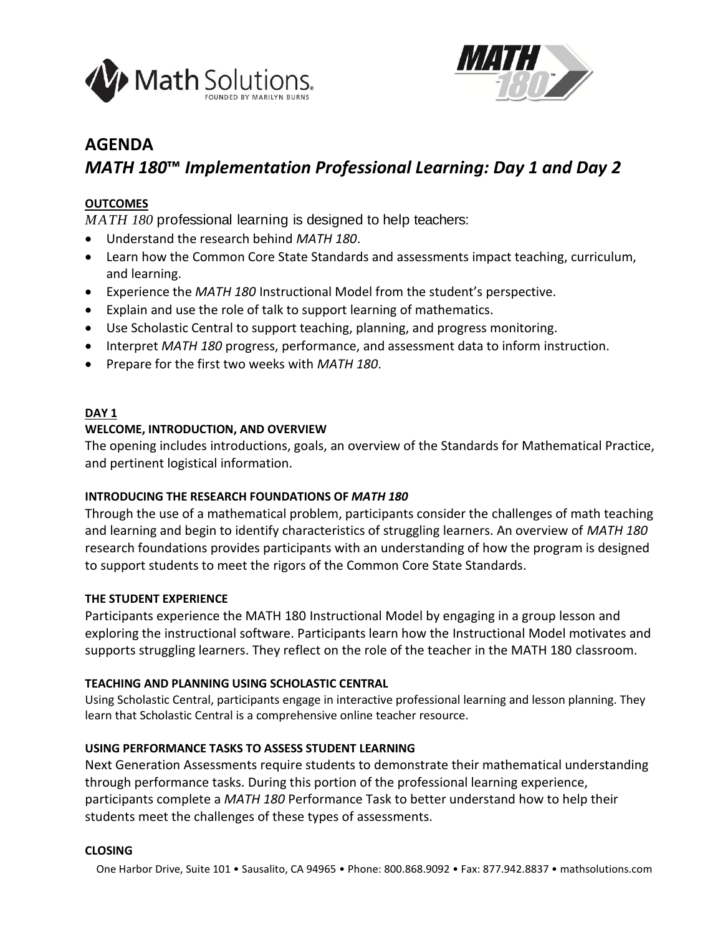



# **AGENDA**

# *MATH 180***™** *Implementation Professional Learning: Day 1 and Day 2*

# **OUTCOMES**

*MATH 180* professional learning is designed to help teachers:

- Understand the research behind *MATH 180*.
- Learn how the Common Core State Standards and assessments impact teaching, curriculum, and learning.
- Experience the *MATH 180* Instructional Model from the student's perspective.
- Explain and use the role of talk to support learning of mathematics.
- Use Scholastic Central to support teaching, planning, and progress monitoring.
- Interpret *MATH 180* progress, performance, and assessment data to inform instruction.
- Prepare for the first two weeks with *MATH 180*.

## **DAY 1**

## **WELCOME, INTRODUCTION, AND OVERVIEW**

The opening includes introductions, goals, an overview of the Standards for Mathematical Practice, and pertinent logistical information.

# **INTRODUCING THE RESEARCH FOUNDATIONS OF** *MATH 180*

Through the use of a mathematical problem, participants consider the challenges of math teaching and learning and begin to identify characteristics of struggling learners. An overview of *MATH 180* research foundations provides participants with an understanding of how the program is designed to support students to meet the rigors of the Common Core State Standards.

#### **THE STUDENT EXPERIENCE**

Participants experience the MATH 180 Instructional Model by engaging in a group lesson and exploring the instructional software. Participants learn how the Instructional Model motivates and supports struggling learners. They reflect on the role of the teacher in the MATH 180 classroom.

#### **TEACHING AND PLANNING USING SCHOLASTIC CENTRAL**

Using Scholastic Central, participants engage in interactive professional learning and lesson planning. They learn that Scholastic Central is a comprehensive online teacher resource.

# **USING PERFORMANCE TASKS TO ASSESS STUDENT LEARNING**

Next Generation Assessments require students to demonstrate their mathematical understanding through performance tasks. During this portion of the professional learning experience, participants complete a *MATH 180* Performance Task to better understand how to help their students meet the challenges of these types of assessments.

#### **CLOSING**

One Harbor Drive, Suite 101 • Sausalito, CA 94965 • Phone: 800.868.9092 • Fax: 877.942.8837 • mathsolutions.com